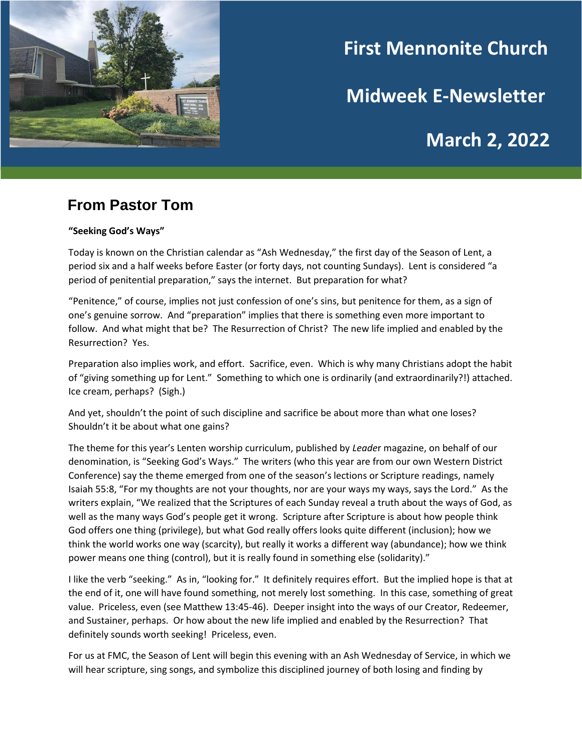

# **First Mennonite Church**

**Midweek E-Newsletter**

# **March 2, 2022**

## **From Pastor Tom**

#### **"Seeking God's Ways"**

Today is known on the Christian calendar as "Ash Wednesday," the first day of the Season of Lent, a period six and a half weeks before Easter (or forty days, not counting Sundays). Lent is considered "a period of penitential preparation," says the internet. But preparation for what?

"Penitence," of course, implies not just confession of one's sins, but penitence for them, as a sign of one's genuine sorrow. And "preparation" implies that there is something even more important to follow. And what might that be? The Resurrection of Christ? The new life implied and enabled by the Resurrection? Yes.

Preparation also implies work, and effort. Sacrifice, even. Which is why many Christians adopt the habit of "giving something up for Lent." Something to which one is ordinarily (and extraordinarily?!) attached. Ice cream, perhaps? (Sigh.)

And yet, shouldn't the point of such discipline and sacrifice be about more than what one loses? Shouldn't it be about what one gains?

The theme for this year's Lenten worship curriculum, published by *Leade*r magazine, on behalf of our denomination, is "Seeking God's Ways." The writers (who this year are from our own Western District Conference) say the theme emerged from one of the season's lections or Scripture readings, namely Isaiah 55:8, "For my thoughts are not your thoughts, nor are your ways my ways, says the Lord." As the writers explain, "We realized that the Scriptures of each Sunday reveal a truth about the ways of God, as well as the many ways God's people get it wrong. Scripture after Scripture is about how people think God offers one thing (privilege), but what God really offers looks quite different (inclusion); how we think the world works one way (scarcity), but really it works a different way (abundance); how we think power means one thing (control), but it is really found in something else (solidarity)."

I like the verb "seeking." As in, "looking for." It definitely requires effort. But the implied hope is that at the end of it, one will have found something, not merely lost something. In this case, something of great value. Priceless, even (see Matthew 13:45-46). Deeper insight into the ways of our Creator, Redeemer, and Sustainer, perhaps. Or how about the new life implied and enabled by the Resurrection? That definitely sounds worth seeking! Priceless, even.

For us at FMC, the Season of Lent will begin this evening with an Ash Wednesday of Service, in which we will hear scripture, sing songs, and symbolize this disciplined journey of both losing and finding by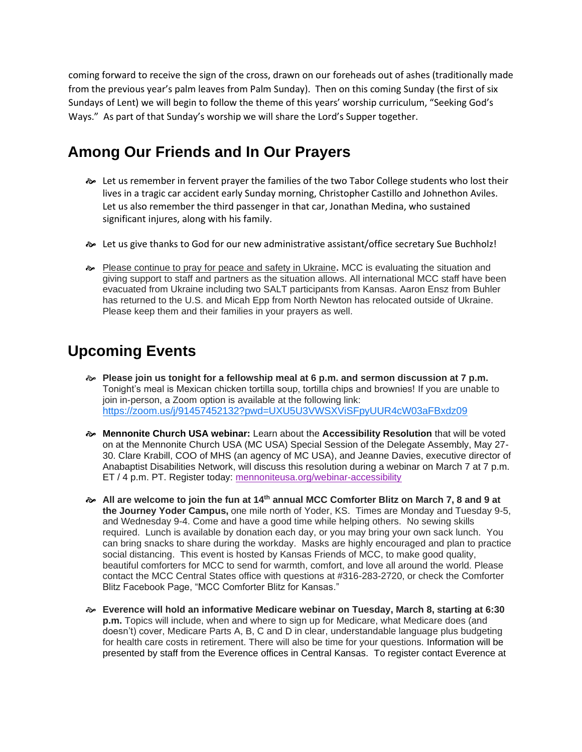coming forward to receive the sign of the cross, drawn on our foreheads out of ashes (traditionally made from the previous year's palm leaves from Palm Sunday). Then on this coming Sunday (the first of six Sundays of Lent) we will begin to follow the theme of this years' worship curriculum, "Seeking God's Ways." As part of that Sunday's worship we will share the Lord's Supper together.

# **Among Our Friends and In Our Prayers**

- $\approx$  Let us remember in fervent prayer the families of the two Tabor College students who lost their lives in a tragic car accident early Sunday morning, Christopher Castillo and Johnethon Aviles. Let us also remember the third passenger in that car, Jonathan Medina, who sustained significant injures, along with his family.
- Let us give thanks to God for our new administrative assistant/office secretary Sue Buchholz!
- Please continue to pray for peace and safety in Ukraine**.** MCC is evaluating the situation and giving support to staff and partners as the situation allows. All international MCC staff have been evacuated from Ukraine including two SALT participants from Kansas. Aaron Ensz from Buhler has returned to the U.S. and Micah Epp from North Newton has relocated outside of Ukraine. Please keep them and their families in your prayers as well.

## **Upcoming Events**

- **Please join us tonight for a fellowship meal at 6 p.m. and sermon discussion at 7 p.m.**  Tonight's meal is Mexican chicken tortilla soup, tortilla chips and brownies! If you are unable to join in-person, a Zoom option is available at the following link: <https://zoom.us/j/91457452132?pwd=UXU5U3VWSXViSFpyUUR4cW03aFBxdz09>
- **Mennonite Church USA webinar:** Learn about the **Accessibility Resolution** that will be voted on at the Mennonite Church USA (MC USA) Special Session of the Delegate Assembly, May 27- 30. Clare Krabill, COO of MHS (an agency of MC USA), and Jeanne Davies, executive director of Anabaptist Disabilities Network, will discuss this resolution during a webinar on March 7 at 7 p.m. ET / 4 p.m. PT. Register today: [mennoniteusa.org/webinar-accessibility](https://mennoniteusa.us1.list-manage.com/track/click?u=97f16d9c230780d6354d01572&id=69bb571a7d&e=f1cba2a9e6)
- **All are welcome to join the fun at 14th annual MCC Comforter Blitz on March 7, 8 and 9 at the Journey Yoder Campus,** one mile north of Yoder, KS. Times are Monday and Tuesday 9-5, and Wednesday 9-4. Come and have a good time while helping others. No sewing skills required. Lunch is available by donation each day, or you may bring your own sack lunch. You can bring snacks to share during the workday. Masks are highly encouraged and plan to practice social distancing. This event is hosted by Kansas Friends of MCC, to make good quality, beautiful comforters for MCC to send for warmth, comfort, and love all around the world. Please contact the MCC Central States office with questions at #316-283-2720, or check the Comforter Blitz Facebook Page, "MCC Comforter Blitz for Kansas."
- **Everence will hold an informative Medicare webinar on Tuesday, March 8, starting at 6:30 p.m.** Topics will include, when and where to sign up for Medicare, what Medicare does (and doesn't) cover, Medicare Parts A, B, C and D in clear, understandable language plus budgeting for health care costs in retirement. There will also be time for your questions. Information will be presented by staff from the Everence offices in Central Kansas. To register contact Everence at